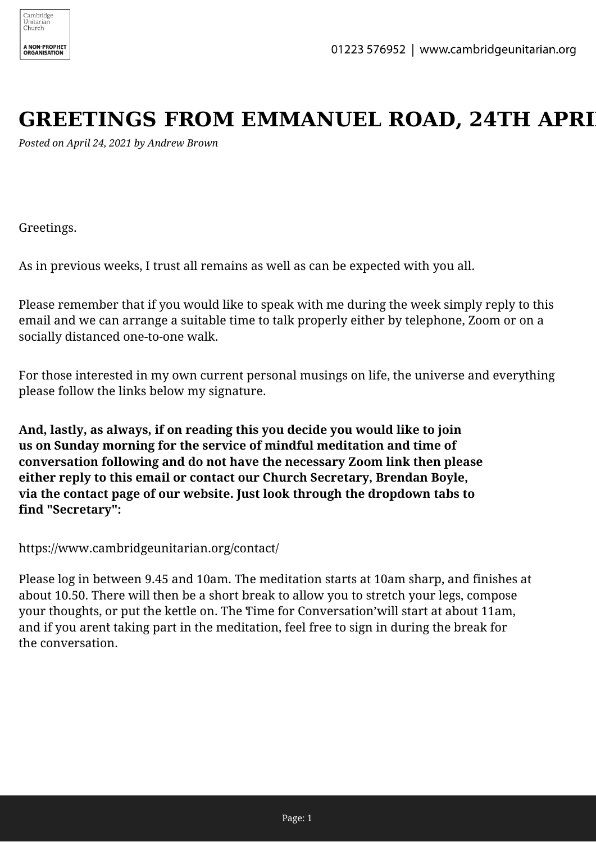## **GREETINGS FROM EMMANUEL ROAD, 24TH APRI**

*Posted on April 24, 2021 by Andrew Brown*

Greetings.

As in previous weeks, I trust all remains as well as can be expected with you all.

Please remember that if you would like to speak with me during the week simply reply to this email and we can arrange a suitable time to talk properly either by telephone, Zoom or on a socially distanced one-to-one walk.

For those interested in my own current personal musings on life, the universe and everything please follow the links below my signature.

**And, lastly, as always, if on reading this you decide you would like to join us on Sunday morning for the service of mindful meditation and time of conversation following and do not have the necessary Zoom link then please either reply to this email or contact our Church Secretary, Brendan Boyle, via the contact page of our website. Just look through the dropdown tabs to find "Secretary":**

https://www.cambridgeunitarian.org/contact/

Please log in between 9.45 and 10am. The meditation starts at 10am sharp, and finishes at about 10.50. There will then be a short break to allow you to stretch your legs, compose your thoughts, or put the kettle on. The Time for Conversation' will start at about 11am, and if you arent taking part in the meditation, feel free to sign in during the break for the conversation.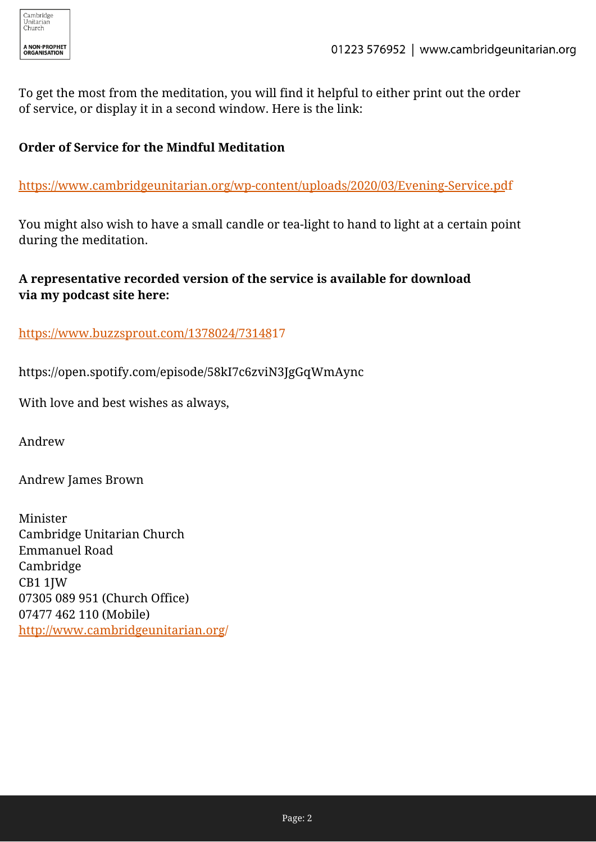To get the most from the meditation, you will find it helpful to either print out the order of service, or display it in a second window. Here is the link:

## **Order of Service for the Mindful Meditation**

[https://www.cambridgeunitarian.org/wp-content/uploads/2020/03/Evening-Service.pd](https://www.cambridgeunitarian.org/wp-content/uploads/2020/03/Evening-Service.pdf)f

You might also wish to have a small candle or tea-light to hand to light at a certain point during the meditation.

## **A representative recorded version of the service is available for download via my podcast site here:**

[https://www.buzzsprout.com/1378024/73148](https://www.buzzsprout.com/1378024/7314817)17

https://open.spotify.com/episode/58kI7c6zviN3JgGqWmAync

With love and best wishes as always,

Andrew

Andrew James Brown

Minister Cambridge Unitarian Church Emmanuel Road Cambridge CB1 1JW 07305 089 951 (Church Office) 07477 462 110 (Mobile) [http://www.cambridgeunitarian.org](http://www.cambridgeunitarian.org/)/